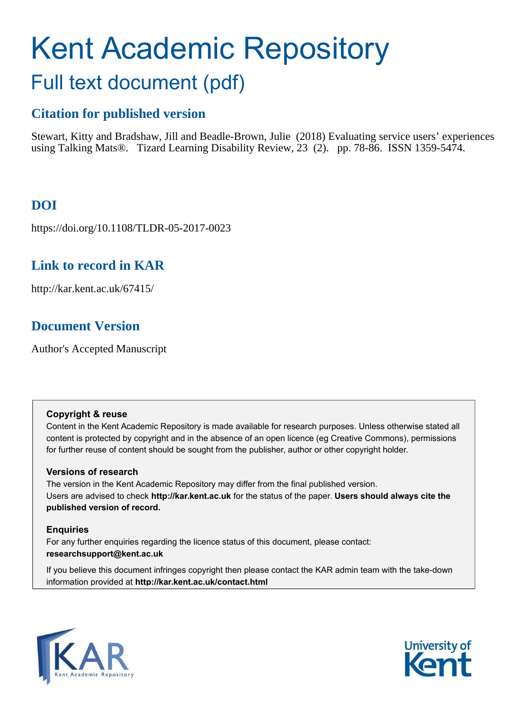# Kent Academic Repository Full text document (pdf)

## **Citation for published version**

Stewart, Kitty and Bradshaw, Jill and Beadle-Brown, Julie (2018) Evaluating service users' experiences using Talking Mats®. Tizard Learning Disability Review, 23 (2). pp. 78-86. ISSN 1359-5474.

# **DOI**

https://doi.org/10.1108/TLDR-05-2017-0023

## **Link to record in KAR**

http://kar.kent.ac.uk/67415/

## **Document Version**

Author's Accepted Manuscript

### **Copyright & reuse**

Content in the Kent Academic Repository is made available for research purposes. Unless otherwise stated all content is protected by copyright and in the absence of an open licence (eg Creative Commons), permissions for further reuse of content should be sought from the publisher, author or other copyright holder.

## **Versions of research**

The version in the Kent Academic Repository may differ from the final published version. Users are advised to check **http://kar.kent.ac.uk** for the status of the paper. **Users should always cite the published version of record.**

## **Enquiries**

For any further enquiries regarding the licence status of this document, please contact: **researchsupport@kent.ac.uk**

If you believe this document infringes copyright then please contact the KAR admin team with the take-down information provided at **http://kar.kent.ac.uk/contact.html**



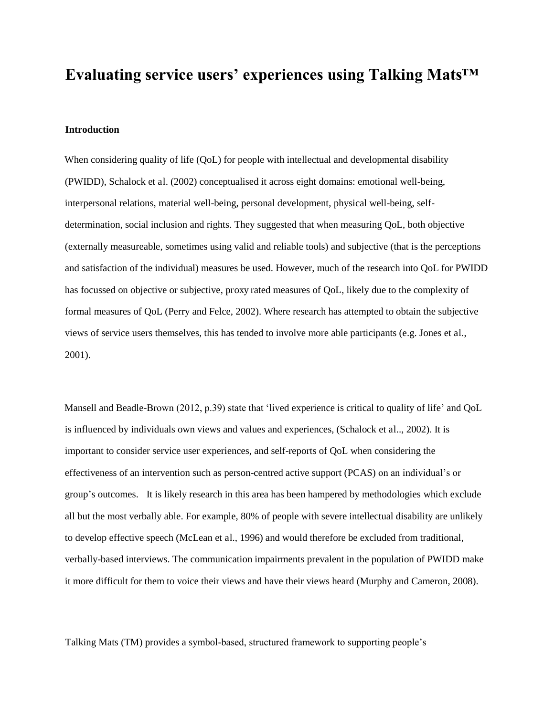# **Evaluating service users' experiences using Talking Mats™**

#### **Introduction**

When considering quality of life (QoL) for people with intellectual and developmental disability (PWIDD), Schalock et al. (2002) conceptualised it across eight domains: emotional well-being, interpersonal relations, material well-being, personal development, physical well-being, selfdetermination, social inclusion and rights. They suggested that when measuring QoL, both objective (externally measureable, sometimes using valid and reliable tools) and subjective (that is the perceptions and satisfaction of the individual) measures be used. However, much of the research into QoL for PWIDD has focussed on objective or subjective, proxy rated measures of QoL, likely due to the complexity of formal measures of QoL (Perry and Felce, 2002). Where research has attempted to obtain the subjective views of service users themselves, this has tended to involve more able participants (e.g. Jones et al., 2001).

Mansell and Beadle-Brown (2012, p.39) state that 'lived experience is critical to quality of life' and QoL is influenced by individuals own views and values and experiences, (Schalock et al.., 2002). It is important to consider service user experiences, and self-reports of QoL when considering the effectiveness of an intervention such as person-centred active support (PCAS) on an individual's or group's outcomes. It is likely research in this area has been hampered by methodologies which exclude all but the most verbally able. For example, 80% of people with severe intellectual disability are unlikely to develop effective speech (McLean et al., 1996) and would therefore be excluded from traditional, verbally-based interviews. The communication impairments prevalent in the population of PWIDD make it more difficult for them to voice their views and have their views heard (Murphy and Cameron, 2008).

Talking Mats (TM) provides a symbol-based, structured framework to supporting people's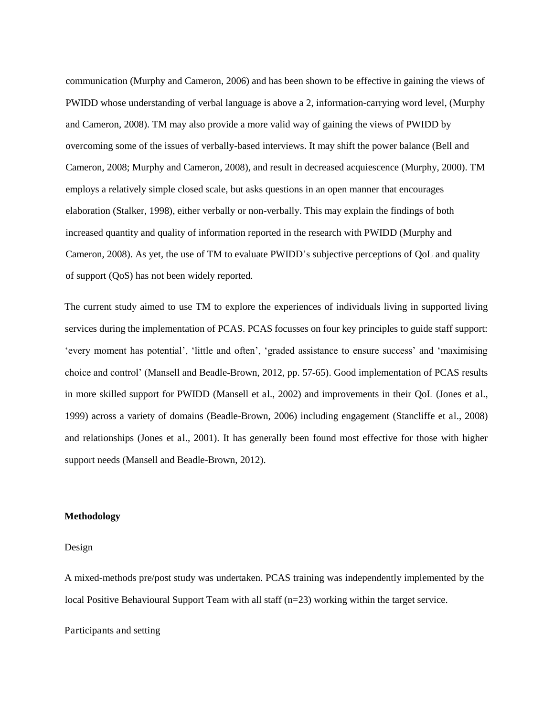communication (Murphy and Cameron, 2006) and has been shown to be effective in gaining the views of PWIDD whose understanding of verbal language is above a 2, information-carrying word level, (Murphy and Cameron, 2008). TM may also provide a more valid way of gaining the views of PWIDD by overcoming some of the issues of verbally-based interviews. It may shift the power balance (Bell and Cameron, 2008; Murphy and Cameron, 2008), and result in decreased acquiescence (Murphy, 2000). TM employs a relatively simple closed scale, but asks questions in an open manner that encourages elaboration (Stalker, 1998), either verbally or non-verbally. This may explain the findings of both increased quantity and quality of information reported in the research with PWIDD (Murphy and Cameron, 2008). As yet, the use of TM to evaluate PWIDD's subjective perceptions of QoL and quality of support (QoS) has not been widely reported.

The current study aimed to use TM to explore the experiences of individuals living in supported living services during the implementation of PCAS. PCAS focusses on four key principles to guide staff support: 'every moment has potential', 'little and often', 'graded assistance to ensure success' and 'maximising choice and control' (Mansell and Beadle-Brown, 2012, pp. 57-65). Good implementation of PCAS results in more skilled support for PWIDD (Mansell et al., 2002) and improvements in their QoL (Jones et al., 1999) across a variety of domains (Beadle-Brown, 2006) including engagement (Stancliffe et al., 2008) and relationships (Jones et al., 2001). It has generally been found most effective for those with higher support needs (Mansell and Beadle-Brown, 2012).

#### **Methodology**

#### Design

A mixed-methods pre/post study was undertaken. PCAS training was independently implemented by the local Positive Behavioural Support Team with all staff (n=23) working within the target service.

#### Participants and setting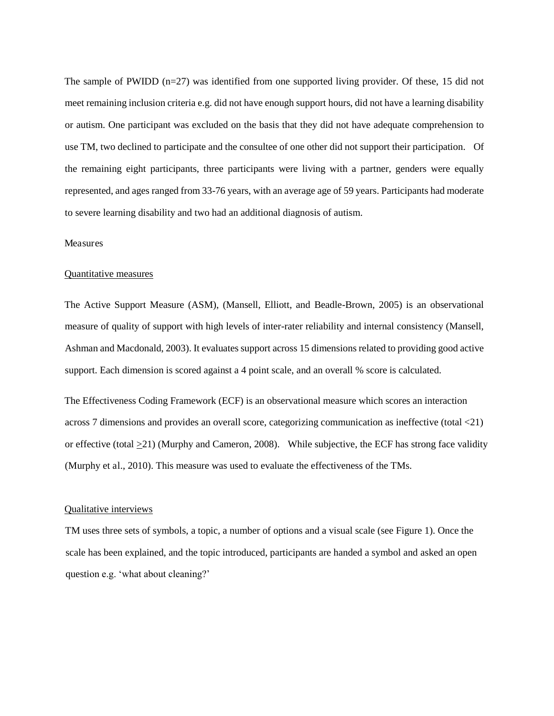The sample of PWIDD (n=27) was identified from one supported living provider. Of these, 15 did not meet remaining inclusion criteria e.g. did not have enough support hours, did not have a learning disability or autism. One participant was excluded on the basis that they did not have adequate comprehension to use TM, two declined to participate and the consultee of one other did not support their participation. Of the remaining eight participants, three participants were living with a partner, genders were equally represented, and ages ranged from 33-76 years, with an average age of 59 years. Participants had moderate to severe learning disability and two had an additional diagnosis of autism.

#### Measures

#### Quantitative measures

The Active Support Measure (ASM), (Mansell, Elliott, and Beadle-Brown, 2005) is an observational measure of quality of support with high levels of inter-rater reliability and internal consistency (Mansell, Ashman and Macdonald, 2003). It evaluates support across 15 dimensions related to providing good active support. Each dimension is scored against a 4 point scale, and an overall % score is calculated.

The Effectiveness Coding Framework (ECF) is an observational measure which scores an interaction across 7 dimensions and provides an overall score, categorizing communication as ineffective (total <21) or effective (total  $\geq$ 21) (Murphy and Cameron, 2008). While subjective, the ECF has strong face validity (Murphy et al., 2010). This measure was used to evaluate the effectiveness of the TMs.

#### Qualitative interviews

TM uses three sets of symbols, a topic, a number of options and a visual scale (see Figure 1). Once the scale has been explained, and the topic introduced, participants are handed a symbol and asked an open question e.g. 'what about cleaning?'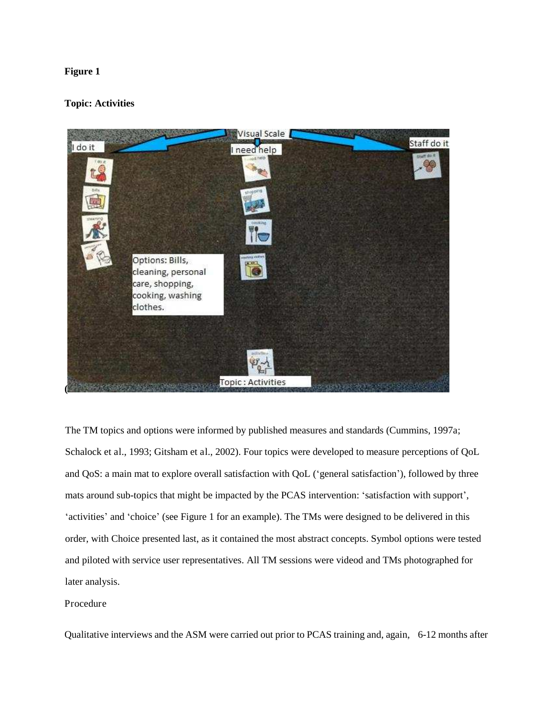#### **Figure 1**

#### **Topic: Activities**



The TM topics and options were informed by published measures and standards (Cummins, 1997a; Schalock et al., 1993; Gitsham et al., 2002). Four topics were developed to measure perceptions of QoL and QoS: a main mat to explore overall satisfaction with QoL ('general satisfaction'), followed by three mats around sub-topics that might be impacted by the PCAS intervention: 'satisfaction with support', 'activities' and 'choice' (see Figure 1 for an example). The TMs were designed to be delivered in this order, with Choice presented last, as it contained the most abstract concepts. Symbol options were tested and piloted with service user representatives. All TM sessions were videod and TMs photographed for later analysis.

#### Procedure

Qualitative interviews and the ASM were carried out prior to PCAS training and, again, 6-12 months after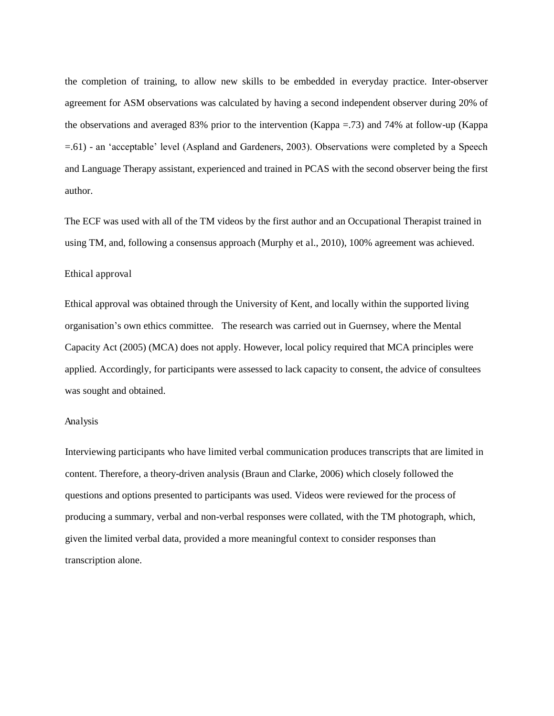the completion of training, to allow new skills to be embedded in everyday practice. Inter-observer agreement for ASM observations was calculated by having a second independent observer during 20% of the observations and averaged 83% prior to the intervention (Kappa =.73) and 74% at follow-up (Kappa =.61) - an 'acceptable' level (Aspland and Gardeners, 2003). Observations were completed by a Speech and Language Therapy assistant, experienced and trained in PCAS with the second observer being the first author.

The ECF was used with all of the TM videos by the first author and an Occupational Therapist trained in using TM, and, following a consensus approach (Murphy et al., 2010), 100% agreement was achieved.

#### Ethical approval

Ethical approval was obtained through the University of Kent, and locally within the supported living organisation's own ethics committee. The research was carried out in Guernsey, where the Mental Capacity Act (2005) (MCA) does not apply. However, local policy required that MCA principles were applied. Accordingly, for participants were assessed to lack capacity to consent, the advice of consultees was sought and obtained.

#### Analysis

Interviewing participants who have limited verbal communication produces transcripts that are limited in content. Therefore, a theory-driven analysis (Braun and Clarke, 2006) which closely followed the questions and options presented to participants was used. Videos were reviewed for the process of producing a summary, verbal and non-verbal responses were collated, with the TM photograph, which, given the limited verbal data, provided a more meaningful context to consider responses than transcription alone.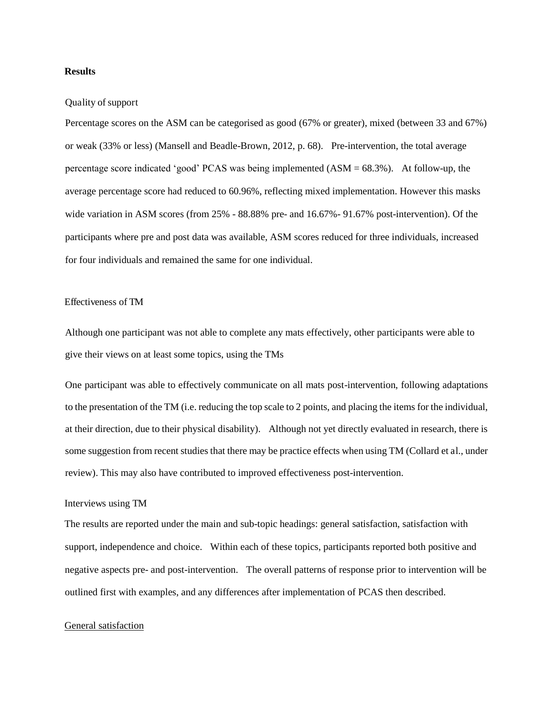#### **Results**

#### Quality of support

Percentage scores on the ASM can be categorised as good (67% or greater), mixed (between 33 and 67%) or weak (33% or less) (Mansell and Beadle-Brown, 2012, p. 68). Pre-intervention, the total average percentage score indicated 'good' PCAS was being implemented (ASM = 68.3%). At follow-up, the average percentage score had reduced to 60.96%, reflecting mixed implementation. However this masks wide variation in ASM scores (from 25% - 88.88% pre- and 16.67%- 91.67% post-intervention). Of the participants where pre and post data was available, ASM scores reduced for three individuals, increased for four individuals and remained the same for one individual.

#### Effectiveness of TM

Although one participant was not able to complete any mats effectively, other participants were able to give their views on at least some topics, using the TMs

One participant was able to effectively communicate on all mats post-intervention, following adaptations to the presentation of the TM (i.e. reducing the top scale to 2 points, and placing the items for the individual, at their direction, due to their physical disability). Although not yet directly evaluated in research, there is some suggestion from recent studies that there may be practice effects when using TM (Collard et al., under review). This may also have contributed to improved effectiveness post-intervention.

#### Interviews using TM

The results are reported under the main and sub-topic headings: general satisfaction, satisfaction with support, independence and choice. Within each of these topics, participants reported both positive and negative aspects pre- and post-intervention. The overall patterns of response prior to intervention will be outlined first with examples, and any differences after implementation of PCAS then described.

#### General satisfaction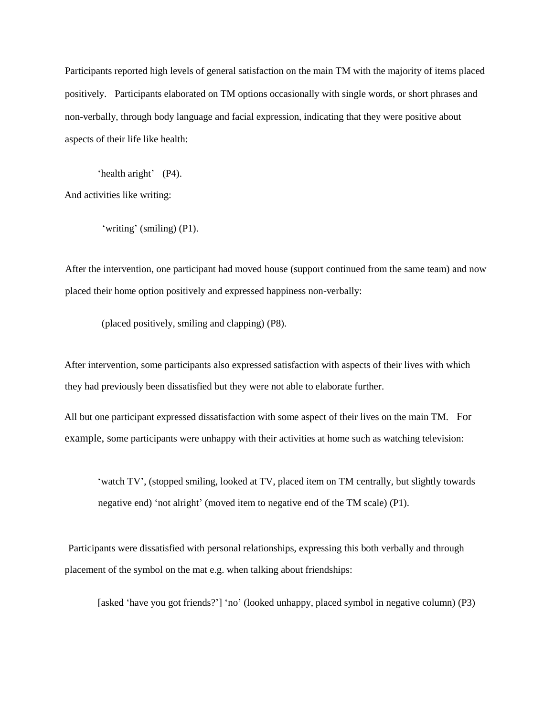Participants reported high levels of general satisfaction on the main TM with the majority of items placed positively. Participants elaborated on TM options occasionally with single words, or short phrases and non-verbally, through body language and facial expression, indicating that they were positive about aspects of their life like health:

'health aright' (P4). And activities like writing:

'writing' (smiling) (P1).

After the intervention, one participant had moved house (support continued from the same team) and now placed their home option positively and expressed happiness non-verbally:

(placed positively, smiling and clapping) (P8).

After intervention, some participants also expressed satisfaction with aspects of their lives with which they had previously been dissatisfied but they were not able to elaborate further.

All but one participant expressed dissatisfaction with some aspect of their lives on the main TM. For example, some participants were unhappy with their activities at home such as watching television:

'watch TV', (stopped smiling, looked at TV, placed item on TM centrally, but slightly towards negative end) 'not alright' (moved item to negative end of the TM scale) (P1).

 Participants were dissatisfied with personal relationships, expressing this both verbally and through placement of the symbol on the mat e.g. when talking about friendships:

[asked 'have you got friends?'] 'no' (looked unhappy, placed symbol in negative column) (P3)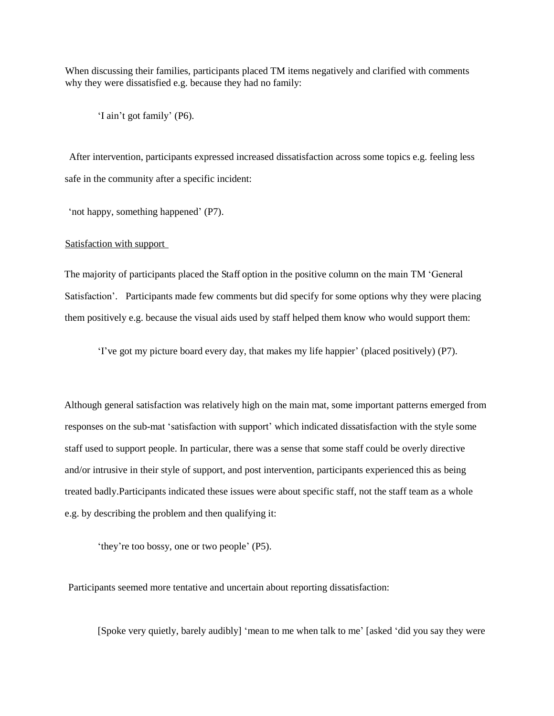When discussing their families, participants placed TM items negatively and clarified with comments why they were dissatisfied e.g. because they had no family:

'I ain't got family' (P6).

 After intervention, participants expressed increased dissatisfaction across some topics e.g. feeling less safe in the community after a specific incident:

'not happy, something happened' (P7).

Satisfaction with support

The majority of participants placed the Staff option in the positive column on the main TM 'General Satisfaction'. Participants made few comments but did specify for some options why they were placing them positively e.g. because the visual aids used by staff helped them know who would support them:

'I've got my picture board every day, that makes my life happier' (placed positively) (P7).

Although general satisfaction was relatively high on the main mat, some important patterns emerged from responses on the sub-mat 'satisfaction with support' which indicated dissatisfaction with the style some staff used to support people. In particular, there was a sense that some staff could be overly directive and/or intrusive in their style of support, and post intervention, participants experienced this as being treated badly.Participants indicated these issues were about specific staff, not the staff team as a whole e.g. by describing the problem and then qualifying it:

'they're too bossy, one or two people' (P5).

Participants seemed more tentative and uncertain about reporting dissatisfaction:

[Spoke very quietly, barely audibly] 'mean to me when talk to me' [asked 'did you say they were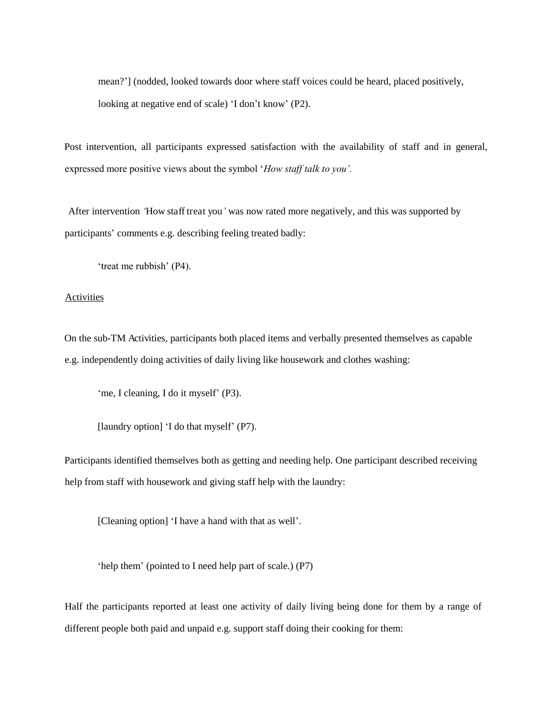mean?'] (nodded, looked towards door where staff voices could be heard, placed positively, looking at negative end of scale) 'I don't know' (P2).

Post intervention, all participants expressed satisfaction with the availability of staff and in general, expressed more positive views about the symbol '*How staff talk to you'.*

 After intervention *'*How staff treat you*'* was now rated more negatively, and this was supported by participants' comments e.g. describing feeling treated badly:

'treat me rubbish' (P4).

#### **Activities**

On the sub-TM Activities, participants both placed items and verbally presented themselves as capable e.g. independently doing activities of daily living like housework and clothes washing:

'me, I cleaning, I do it myself' (P3).

[laundry option] 'I do that myself' (P7).

Participants identified themselves both as getting and needing help. One participant described receiving help from staff with housework and giving staff help with the laundry:

[Cleaning option] 'I have a hand with that as well'.

'help them' (pointed to I need help part of scale.) (P7)

Half the participants reported at least one activity of daily living being done for them by a range of different people both paid and unpaid e.g. support staff doing their cooking for them: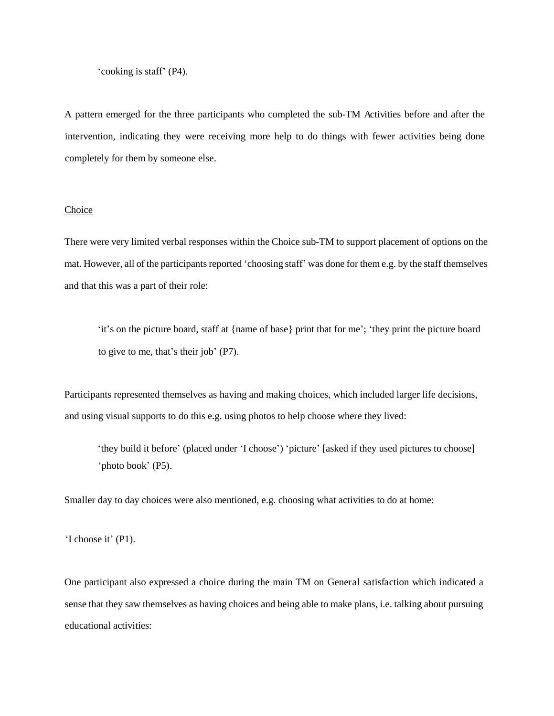'cooking is staff' (P4).

A pattern emerged for the three participants who completed the sub-TM Activities before and after the intervention, indicating they were receiving more help to do things with fewer activities being done completely for them by someone else.

#### Choice

There were very limited verbal responses within the Choice sub-TM to support placement of options on the mat. However, all of the participants reported 'choosing staff' was done for them e.g. by the staff themselves and that this was a part of their role:

'it's on the picture board, staff at {name of base} print that for me'; 'they print the picture board to give to me, that's their job' (P7).

Participants represented themselves as having and making choices, which included larger life decisions, and using visual supports to do this e.g. using photos to help choose where they lived:

'they build it before' (placed under 'I choose') 'picture' [asked if they used pictures to choose] 'photo book' (P5).

Smaller day to day choices were also mentioned, e.g. choosing what activities to do at home:

'I choose it' (P1).

One participant also expressed a choice during the main TM on General satisfaction which indicated a sense that they saw themselves as having choices and being able to make plans, i.e. talking about pursuing educational activities: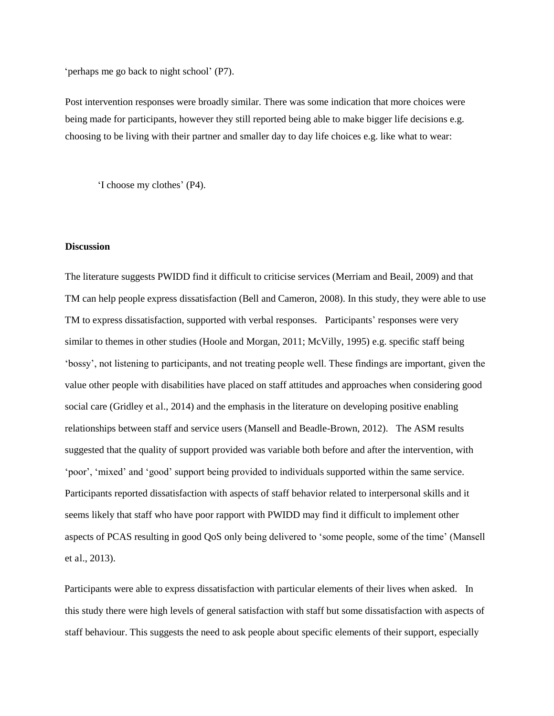'perhaps me go back to night school' (P7).

Post intervention responses were broadly similar. There was some indication that more choices were being made for participants, however they still reported being able to make bigger life decisions e.g. choosing to be living with their partner and smaller day to day life choices e.g. like what to wear:

'I choose my clothes' (P4).

#### **Discussion**

 The literature suggests PWIDD find it difficult to criticise services (Merriam and Beail, 2009) and that TM can help people express dissatisfaction (Bell and Cameron, 2008). In this study, they were able to use TM to express dissatisfaction, supported with verbal responses. Participants' responses were very similar to themes in other studies (Hoole and Morgan, 2011; McVilly, 1995) e.g. specific staff being 'bossy', not listening to participants, and not treating people well. These findings are important, given the value other people with disabilities have placed on staff attitudes and approaches when considering good social care (Gridley et al., 2014) and the emphasis in the literature on developing positive enabling relationships between staff and service users (Mansell and Beadle-Brown, 2012). The ASM results suggested that the quality of support provided was variable both before and after the intervention, with 'poor', 'mixed' and 'good' support being provided to individuals supported within the same service. Participants reported dissatisfaction with aspects of staff behavior related to interpersonal skills and it seems likely that staff who have poor rapport with PWIDD may find it difficult to implement other aspects of PCAS resulting in good QoS only being delivered to 'some people, some of the time' (Mansell et al., 2013).

Participants were able to express dissatisfaction with particular elements of their lives when asked. In this study there were high levels of general satisfaction with staff but some dissatisfaction with aspects of staff behaviour. This suggests the need to ask people about specific elements of their support, especially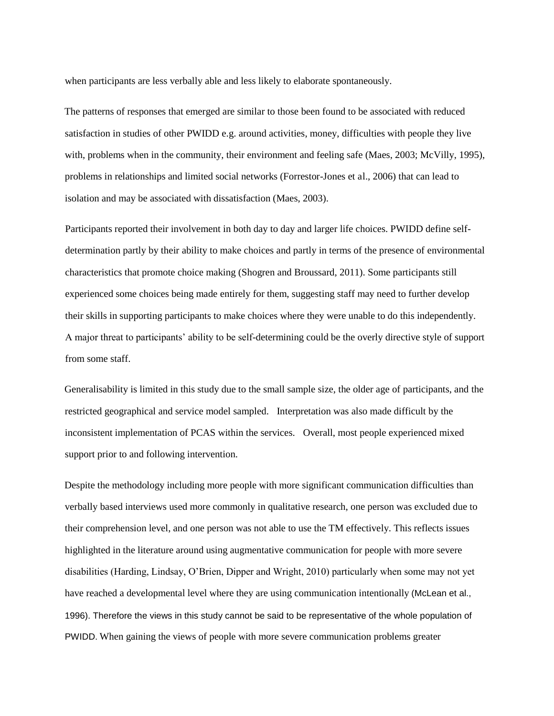when participants are less verbally able and less likely to elaborate spontaneously.

The patterns of responses that emerged are similar to those been found to be associated with reduced satisfaction in studies of other PWIDD e.g. around activities, money, difficulties with people they live with, problems when in the community, their environment and feeling safe (Maes, 2003; McVilly, 1995), problems in relationships and limited social networks (Forrestor-Jones et al., 2006) that can lead to isolation and may be associated with dissatisfaction (Maes, 2003).

Participants reported their involvement in both day to day and larger life choices. PWIDD define selfdetermination partly by their ability to make choices and partly in terms of the presence of environmental characteristics that promote choice making (Shogren and Broussard, 2011). Some participants still experienced some choices being made entirely for them, suggesting staff may need to further develop their skills in supporting participants to make choices where they were unable to do this independently. A major threat to participants' ability to be self-determining could be the overly directive style of support from some staff.

Generalisability is limited in this study due to the small sample size, the older age of participants, and the restricted geographical and service model sampled. Interpretation was also made difficult by the inconsistent implementation of PCAS within the services. Overall, most people experienced mixed support prior to and following intervention.

Despite the methodology including more people with more significant communication difficulties than verbally based interviews used more commonly in qualitative research, one person was excluded due to their comprehension level, and one person was not able to use the TM effectively. This reflects issues highlighted in the literature around using augmentative communication for people with more severe disabilities (Harding, Lindsay, O'Brien, Dipper and Wright, 2010) particularly when some may not yet have reached a developmental level where they are using communication intentionally (McLean et al., 1996). Therefore the views in this study cannot be said to be representative of the whole population of PWIDD. When gaining the views of people with more severe communication problems greater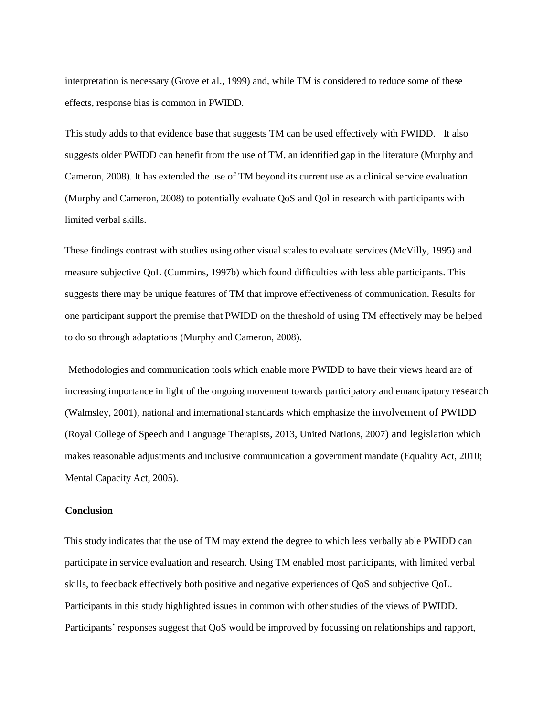interpretation is necessary (Grove et al., 1999) and, while TM is considered to reduce some of these effects, response bias is common in PWIDD.

This study adds to that evidence base that suggests TM can be used effectively with PWIDD. It also suggests older PWIDD can benefit from the use of TM, an identified gap in the literature (Murphy and Cameron, 2008). It has extended the use of TM beyond its current use as a clinical service evaluation (Murphy and Cameron, 2008) to potentially evaluate QoS and Qol in research with participants with limited verbal skills.

These findings contrast with studies using other visual scales to evaluate services (McVilly, 1995) and measure subjective QoL (Cummins, 1997b) which found difficulties with less able participants. This suggests there may be unique features of TM that improve effectiveness of communication. Results for one participant support the premise that PWIDD on the threshold of using TM effectively may be helped to do so through adaptations (Murphy and Cameron, 2008).

 Methodologies and communication tools which enable more PWIDD to have their views heard are of increasing importance in light of the ongoing movement towards participatory and emancipatory research (Walmsley, 2001), national and international standards which emphasize the involvement of PWIDD (Royal College of Speech and Language Therapists, 2013, United Nations, 2007) and legislation which makes reasonable adjustments and inclusive communication a government mandate (Equality Act, 2010; Mental Capacity Act, 2005).

#### **Conclusion**

This study indicates that the use of TM may extend the degree to which less verbally able PWIDD can participate in service evaluation and research. Using TM enabled most participants, with limited verbal skills, to feedback effectively both positive and negative experiences of QoS and subjective QoL. Participants in this study highlighted issues in common with other studies of the views of PWIDD. Participants' responses suggest that QoS would be improved by focussing on relationships and rapport,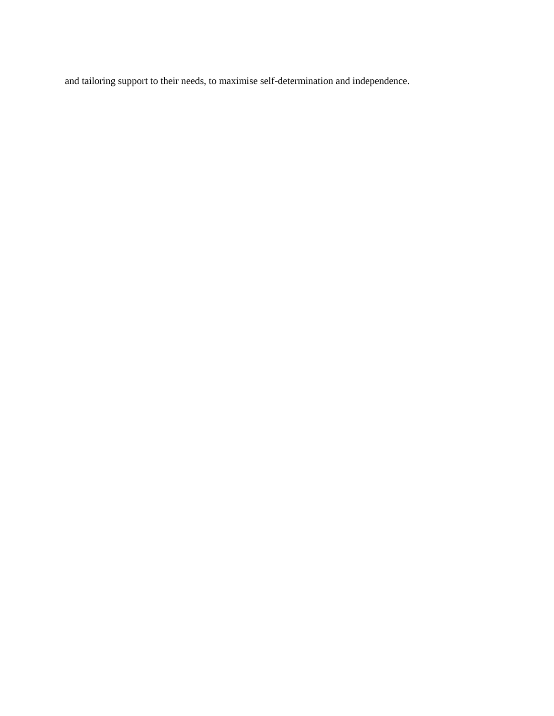and tailoring support to their needs, to maximise self-determination and independence.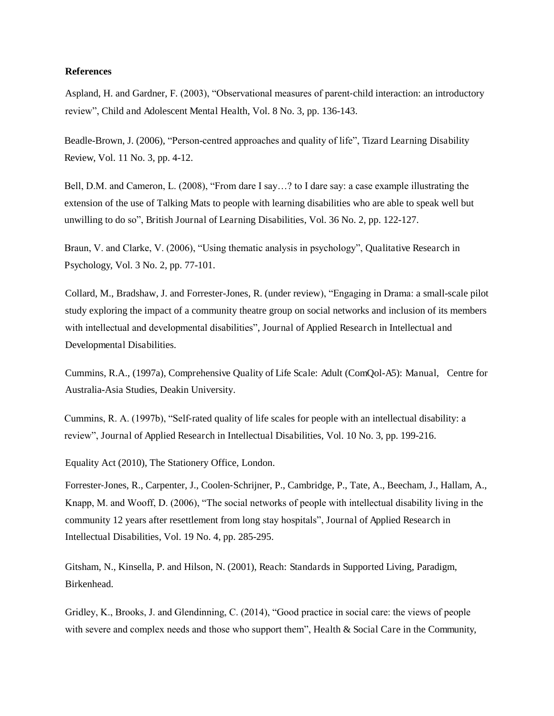#### **References**

Aspland, H. and Gardner, F. (2003), "Observational measures of parent-child interaction: an introductory review", Child and Adolescent Mental Health, Vol. 8 No. 3, pp. 136-143.

Beadle-Brown, J. (2006), "Person-centred approaches and quality of life", Tizard Learning Disability Review, Vol. 11 No. 3, pp. 4-12.

Bell, D.M. and Cameron, L. (2008), "From dare I say…? to I dare say: a case example illustrating the extension of the use of Talking Mats to people with learning disabilities who are able to speak well but unwilling to do so", British Journal of Learning Disabilities, Vol. 36 No. 2, pp. 122-127.

Braun, V. and Clarke, V. (2006), "Using thematic analysis in psychology", Qualitative Research in Psychology, Vol. 3 No. 2, pp. 77-101.

Collard, M., Bradshaw, J. and Forrester-Jones, R. (under review), "Engaging in Drama: a small-scale pilot study exploring the impact of a community theatre group on social networks and inclusion of its members with intellectual and developmental disabilities", Journal of Applied Research in Intellectual and Developmental Disabilities.

Cummins, R.A., (1997a), Comprehensive Quality of Life Scale: Adult (ComQol-A5): Manual, Centre for Australia-Asia Studies, Deakin University.

Cummins, R. A. (1997b), "Self-rated quality of life scales for people with an intellectual disability: a review", Journal of Applied Research in Intellectual Disabilities, Vol. 10 No. 3, pp. 199-216.

Equality Act (2010), The Stationery Office, London.

Forrester-Jones, R., Carpenter, J., Coolen-Schrijner, P., Cambridge, P., Tate, A., Beecham, J., Hallam, A., Knapp, M. and Wooff, D. (2006), "The social networks of people with intellectual disability living in the community 12 years after resettlement from long stay hospitals", Journal of Applied Research in Intellectual Disabilities, Vol. 19 No. 4, pp. 285-295.

Gitsham, N., Kinsella, P. and Hilson, N. (2001), Reach: Standards in Supported Living, Paradigm, Birkenhead.

Gridley, K., Brooks, J. and Glendinning, C. (2014), "Good practice in social care: the views of people with severe and complex needs and those who support them", Health & Social Care in the Community,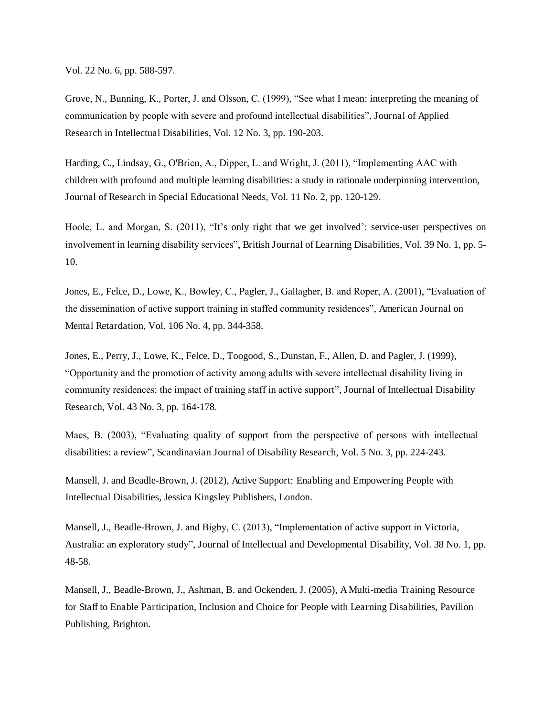Vol. 22 No. 6, pp. 588-597.

Grove, N., Bunning, K., Porter, J. and Olsson, C. (1999), "See what I mean: interpreting the meaning of communication by people with severe and profound intellectual disabilities", Journal of Applied Research in Intellectual Disabilities, Vol. 12 No. 3, pp. 190-203.

Harding, C., Lindsay, G., O'Brien, A., Dipper, L. and Wright, J. (2011), "Implementing AAC with children with profound and multiple learning disabilities: a study in rationale underpinning intervention, Journal of Research in Special Educational Needs, Vol. 11 No. 2, pp. 120-129.

Hoole, L. and Morgan, S. (2011), "It's only right that we get involved': service-user perspectives on involvement in learning disability services", British Journal of Learning Disabilities, Vol. 39 No. 1, pp. 5- 10.

Jones, E., Felce, D., Lowe, K., Bowley, C., Pagler, J., Gallagher, B. and Roper, A. (2001), "Evaluation of the dissemination of active support training in staffed community residences", American Journal on Mental Retardation, Vol. 106 No. 4, pp. 344-358.

Jones, E., Perry, J., Lowe, K., Felce, D., Toogood, S., Dunstan, F., Allen, D. and Pagler, J. (1999), "Opportunity and the promotion of activity among adults with severe intellectual disability living in community residences: the impact of training staff in active support", Journal of Intellectual Disability Research, Vol. 43 No. 3, pp. 164-178.

Maes, B. (2003), "Evaluating quality of support from the perspective of persons with intellectual disabilities: a review", Scandinavian Journal of Disability Research, Vol. 5 No. 3, pp. 224-243.

Mansell, J. and Beadle-Brown, J. (2012), Active Support: Enabling and Empowering People with Intellectual Disabilities, Jessica Kingsley Publishers, London.

Mansell, J., Beadle-Brown, J. and Bigby, C. (2013), "Implementation of active support in Victoria, Australia: an exploratory study", Journal of Intellectual and Developmental Disability, Vol. 38 No. 1, pp. 48-58.

Mansell, J., Beadle-Brown, J., Ashman, B. and Ockenden, J. (2005), A Multi-media Training Resource for Staff to Enable Participation, Inclusion and Choice for People with Learning Disabilities, Pavilion Publishing, Brighton.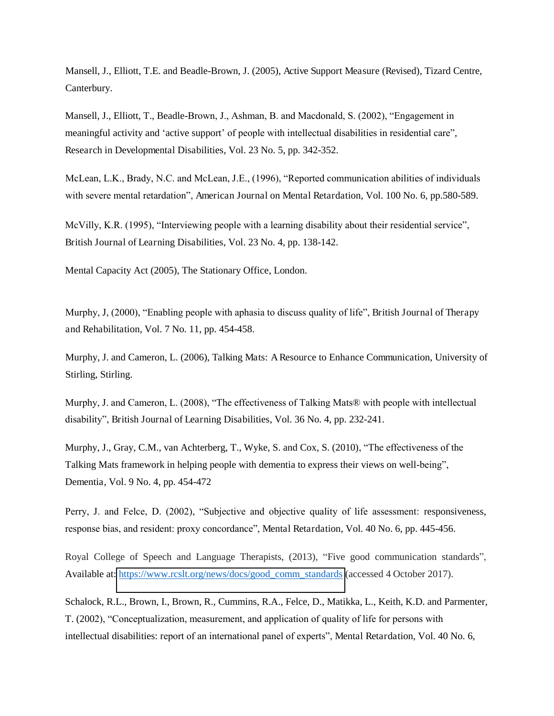Mansell, J., Elliott, T.E. and Beadle-Brown, J. (2005), Active Support Measure (Revised), Tizard Centre, Canterbury.

Mansell, J., Elliott, T., Beadle-Brown, J., Ashman, B. and Macdonald, S. (2002), "Engagement in meaningful activity and 'active support' of people with intellectual disabilities in residential care", Research in Developmental Disabilities, Vol. 23 No. 5, pp. 342-352.

McLean, L.K., Brady, N.C. and McLean, J.E., (1996), "Reported communication abilities of individuals with severe mental retardation", American Journal on Mental Retardation, Vol. 100 No. 6, pp.580-589.

McVilly, K.R. (1995), "Interviewing people with a learning disability about their residential service", British Journal of Learning Disabilities, Vol. 23 No. 4, pp. 138-142.

Mental Capacity Act (2005), The Stationary Office, London.

Murphy, J, (2000), "Enabling people with aphasia to discuss quality of life", British Journal of Therapy and Rehabilitation, Vol. 7 No. 11, pp. 454-458.

Murphy, J. and Cameron, L. (2006), Talking Mats: A Resource to Enhance Communication, University of Stirling, Stirling.

Murphy, J. and Cameron, L. (2008), "The effectiveness of Talking Mats® with people with intellectual disability", British Journal of Learning Disabilities, Vol. 36 No. 4, pp. 232-241.

Murphy, J., Gray, C.M., van Achterberg, T., Wyke, S. and Cox, S. (2010), "The effectiveness of the Talking Mats framework in helping people with dementia to express their views on well-being", Dementia, Vol. 9 No. 4, pp. 454-472

Perry, J. and Felce, D. (2002), "Subjective and objective quality of life assessment: responsiveness, response bias, and resident: proxy concordance", Mental Retardation, Vol. 40 No. 6, pp. 445-456.

Royal College of Speech and Language Therapists, (2013), "Five good communication standards", Available at: [https://www.rcslt.org/news/docs/good\\_comm\\_standards](https://www.rcslt.org/news/docs/good_comm_standards) (accessed 4 October 2017).

Schalock, R.L., Brown, I., Brown, R., Cummins, R.A., Felce, D., Matikka, L., Keith, K.D. and Parmenter, T. (2002), "Conceptualization, measurement, and application of quality of life for persons with intellectual disabilities: report of an international panel of experts", Mental Retardation, Vol. 40 No. 6,